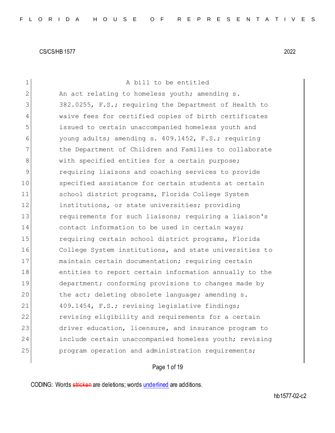| $\mathbf 1$    | A bill to be entitled                                  |
|----------------|--------------------------------------------------------|
| $\overline{2}$ | An act relating to homeless youth; amending s.         |
| 3              | 382.0255, F.S.; requiring the Department of Health to  |
| 4              | waive fees for certified copies of birth certificates  |
| 5              | issued to certain unaccompanied homeless youth and     |
| 6              | young adults; amending s. 409.1452, F.S.; requiring    |
| 7              | the Department of Children and Families to collaborate |
| 8              | with specified entities for a certain purpose;         |
| 9              | requiring liaisons and coaching services to provide    |
| 10             | specified assistance for certain students at certain   |
| 11             | school district programs, Florida College System       |
| 12             | institutions, or state universities; providing         |
| 13             | requirements for such liaisons; requiring a liaison's  |
| 14             | contact information to be used in certain ways;        |
| 15             | requiring certain school district programs, Florida    |
| 16             | College System institutions, and state universities to |
| 17             | maintain certain documentation; requiring certain      |
| 18             | entities to report certain information annually to the |
| 19             | department; conforming provisions to changes made by   |
| 20             | the act; deleting obsolete language; amending s.       |
| 21             | 409.1454, F.S.; revising legislative findings;         |
| 22             | revising eligibility and requirements for a certain    |
| 23             | driver education, licensure, and insurance program to  |
| 24             | include certain unaccompanied homeless youth; revising |
| 25             | program operation and administration requirements;     |
|                |                                                        |

# Page 1 of 19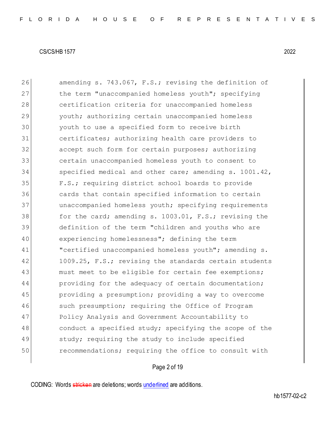26 amending s. 743.067, F.S.; revising the definition of 27 the term "unaccompanied homeless youth"; specifying 28 certification criteria for unaccompanied homeless 29 youth; authorizing certain unaccompanied homeless 30 youth to use a specified form to receive birth 31 certificates; authorizing health care providers to 32 accept such form for certain purposes; authorizing 33 certain unaccompanied homeless youth to consent to 34 specified medical and other care; amending s. 1001.42, 35 F.S.; requiring district school boards to provide 36 cards that contain specified information to certain 37 unaccompanied homeless youth; specifying requirements 38 for the card; amending s. 1003.01, F.S.; revising the 39 definition of the term "children and youths who are 40 experiencing homelessness"; defining the term 41 "certified unaccompanied homeless youth"; amending s. 42 1009.25, F.S.; revising the standards certain students 43 must meet to be eligible for certain fee exemptions; 44 providing for the adequacy of certain documentation; 45 providing a presumption; providing a way to overcome 46 such presumption; requiring the Office of Program 47 Policy Analysis and Government Accountability to 48 conduct a specified study; specifying the scope of the 49 study; requiring the study to include specified 50 recommendations; requiring the office to consult with

# Page 2 of 19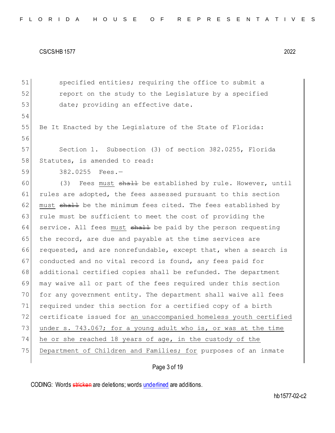51 specified entities; requiring the office to submit a 52 report on the study to the Legislature by a specified 53 date; providing an effective date. 54 55 Be It Enacted by the Legislature of the State of Florida: 56 57 Section 1. Subsection (3) of section 382.0255, Florida 58 Statutes, is amended to read: 59 382.0255 Fees.— 60 (3) Fees must  $shall$  be established by rule. However, until 61 rules are adopted, the fees assessed pursuant to this section 62 must  $\frac{1}{2}$  be the minimum fees cited. The fees established by 63 rule must be sufficient to meet the cost of providing the 64 service. All fees must  $shall$  be paid by the person requesting 65 the record, are due and payable at the time services are 66 requested, and are nonrefundable, except that, when a search is 67 conducted and no vital record is found, any fees paid for 68 additional certified copies shall be refunded. The department 69 may waive all or part of the fees required under this section 70 for any government entity. The department shall waive all fees 71 required under this section for a certified copy of a birth 72 certificate issued for an unaccompanied homeless youth certified 73 under s. 743.067; for a young adult who is, or was at the time 74 he or she reached 18 years of age, in the custody of the 75 Department of Children and Families; for purposes of an inmate

# Page 3 of 19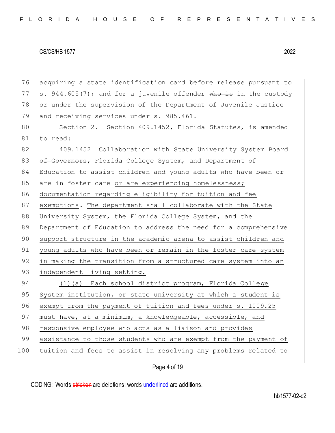76 acquiring a state identification card before release pursuant to 77 s. 944.605(7); and for a juvenile offender who is in the custody 78 or under the supervision of the Department of Juvenile Justice 79 and receiving services under s. 985.461.

80 Section 2. Section 409.1452, Florida Statutes, is amended 81 to read:

82 409.1452 Collaboration with State University System Board 83 of Governors, Florida College System, and Department of 84 Education to assist children and young adults who have been or 85 are in foster care or are experiencing homelessness; 86 documentation regarding eligibility for tuition and fee 87 exemptions.—The department shall collaborate with the State 88 University System, the Florida College System, and the 89 Department of Education to address the need for a comprehensive 90 support structure in the academic arena to assist children and 91 young adults who have been or remain in the foster care system 92 in making the transition from a structured care system into an 93 independent living setting.

94 (1)(a) Each school district program, Florida College 95 System institution, or state university at which a student is 96 exempt from the payment of tuition and fees under s. 1009.25 97 must have, at a minimum, a knowledgeable, accessible, and 98 responsive employee who acts as a liaison and provides 99 assistance to those students who are exempt from the payment of 100 tuition and fees to assist in resolving any problems related to

Page 4 of 19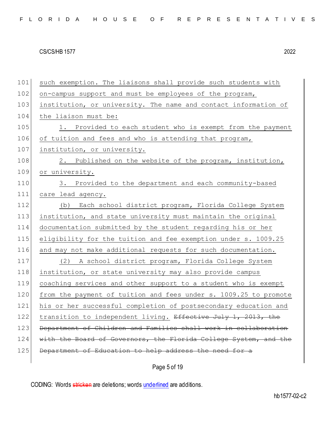101 such exemption. The liaisons shall provide such students with 102 on-campus support and must be employees of the program, 103 institution, or university. The name and contact information of 104 the liaison must be: 105 1. Provided to each student who is exempt from the payment 106 of tuition and fees and who is attending that program, 107 institution, or university. 108 2. Published on the website of the program, institution, 109 or university. 110 3. Provided to the department and each community-based 111 care lead agency. 112 (b) Each school district program, Florida College System 113 institution, and state university must maintain the original 114 documentation submitted by the student regarding his or her 115 eligibility for the tuition and fee exemption under s. 1009.25 116 and may not make additional requests for such documentation. 117 (2) A school district program, Florida College System 118 institution, or state university may also provide campus 119 coaching services and other support to a student who is exempt 120 from the payment of tuition and fees under s. 1009.25 to promote 121 his or her successful completion of postsecondary education and 122 transition to independent living. Effective July 1, 2013, the 123 Department of Children and Families shall work in collaboration 124 with the Board of Governors, the Florida College System, and the 125 Department of Education to help address the need for a

Page 5 of 19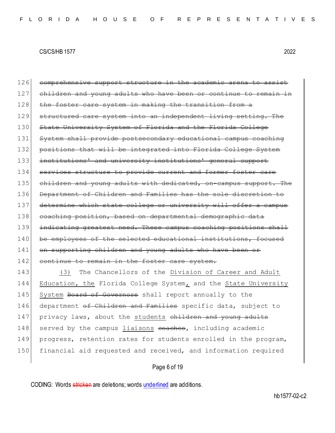126 comprehensive support structure in the academic arena to assist 127 children and young adults who have been or continue to remain 128 the foster care system in making the transition from a 129 structured care system into an independent living setting. The 130 State University System of Florida and the Florida College 131 System shall provide postsecondary educational campus coaching 132 positions that will be integrated into Florida College System 133 institutions' and university institutions' general support 134 services structure to provide current and former foster care 135 children and young adults with dedicated, on-campus support. The 136 Department of Children and Families has the sole discretion to 137 determine which state college or university will offer a campus 138 coaching position, based on departmental demographic data 139 indicating greatest need. These campus coaching positions shall 140 be employees of the selected educational institutions, focused 141 on supporting children and young adults who have been or 142 continue to remain in the foster care system.

143 (3) The Chancellors of the Division of Career and Adult 144 Education, the Florida College System, and the State University 145 System Board of Governors shall report annually to the 146 department <del>of Children and Families</del> specific data, subject to 147 privacy laws, about the students children and young adults 148 served by the campus liaisons coaches, including academic 149 progress, retention rates for students enrolled in the program, 150 financial aid requested and received, and information required

Page 6 of 19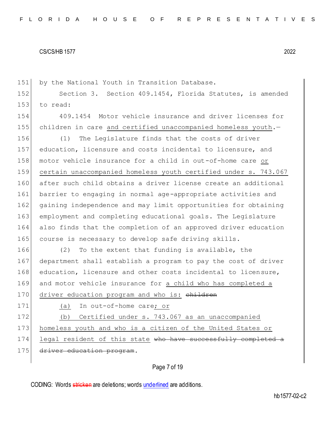151 by the National Youth in Transition Database.

152 Section 3. Section 409.1454, Florida Statutes, is amended 153 to read:

154 409.1454 Motor vehicle insurance and driver licenses for 155 children in care and certified unaccompanied homeless youth.—

 (1) The Legislature finds that the costs of driver education, licensure and costs incidental to licensure, and motor vehicle insurance for a child in out-of-home care or certain unaccompanied homeless youth certified under s. 743.067 after such child obtains a driver license create an additional barrier to engaging in normal age-appropriate activities and gaining independence and may limit opportunities for obtaining employment and completing educational goals. The Legislature also finds that the completion of an approved driver education 165 course is necessary to develop safe driving skills.

166 (2) To the extent that funding is available, the 167 department shall establish a program to pay the cost of driver 168 education, licensure and other costs incidental to licensure, 169 and motor vehicle insurance for a child who has completed a

170 driver education program and who is: children

171 (a) In out-of-home care; or

172 (b) Certified under s. 743.067 as an unaccompanied 173 homeless youth and who is a citizen of the United States or 174 legal resident of this state who have successfully completed a

175 driver education program.

# Page 7 of 19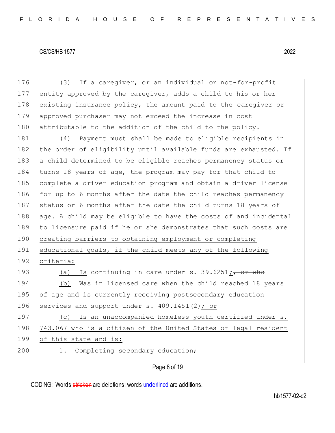| 176 | If a caregiver, or an individual or not-for-profit<br>(3)              |
|-----|------------------------------------------------------------------------|
| 177 | entity approved by the caregiver, adds a child to his or her           |
| 178 | existing insurance policy, the amount paid to the caregiver or         |
| 179 | approved purchaser may not exceed the increase in cost                 |
| 180 | attributable to the addition of the child to the policy.               |
| 181 | Payment must shall be made to eligible recipients in<br>(4)            |
| 182 | the order of eligibility until available funds are exhausted. If       |
| 183 | a child determined to be eligible reaches permanency status or         |
| 184 | turns 18 years of age, the program may pay for that child to           |
| 185 | complete a driver education program and obtain a driver license        |
| 186 | for up to 6 months after the date the child reaches permanency         |
| 187 | status or 6 months after the date the child turns 18 years of          |
| 188 | age. A child may be eligible to have the costs of and incidental       |
| 189 | to licensure paid if he or she demonstrates that such costs are        |
| 190 | creating barriers to obtaining employment or completing                |
| 191 | educational goals, if the child meets any of the following             |
| 192 | criteria:                                                              |
| 193 | Is continuing in care under s. $39.6251$ ; $\rightarrow$ or whe<br>(a) |
| 194 | Was in licensed care when the child reached 18 years<br>(b)            |
| 195 | of age and is currently receiving postsecondary education              |
| 196 | services and support under s. 409.1451(2); or                          |
| 197 | Is an unaccompanied homeless youth certified under s.<br>(C)           |
| 198 | 743.067 who is a citizen of the United States or legal resident        |
| 199 | of this state and is:                                                  |
| 200 | Completing secondary education;<br>$\perp$ .                           |
|     |                                                                        |

# Page 8 of 19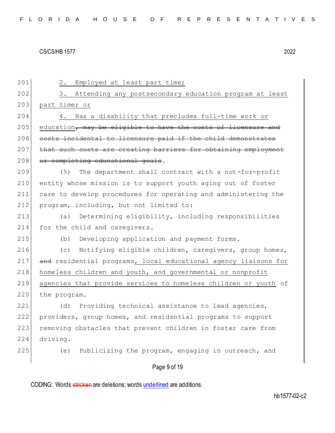Page 9 of 19 201 2. Employed at least part time; 202 3. Attending any postsecondary education program at least 203 part time; or 204 4. Has a disability that precludes full-time work or  $205$  education, may be eligible to have the costs of licensure and 206 costs incidental to licensure paid if the child demonstrates 207 that such costs are creating barriers for obtaining employment 208 or completing educational goals. 209 (5) The department shall contract with a not-for-profit 210 entity whose mission is to support youth aging out of foster 211 care to develop procedures for operating and administering the 212 program, including, but not limited to: 213 (a) Determining eligibility, including responsibilities 214 for the child and caregivers. 215 (b) Developing application and payment forms. 216 (c) Notifying eligible children, caregivers, group homes, 217 and residential programs, local educational agency liaisons for 218 homeless children and youth, and governmental or nonprofit 219 agencies that provide services to homeless children or youth of 220 the program. 221 (d) Providing technical assistance to lead agencies, 222 providers, group homes, and residential programs to support 223 removing obstacles that prevent children in foster care from 224 driving. 225 (e) Publicizing the program, engaging in outreach, and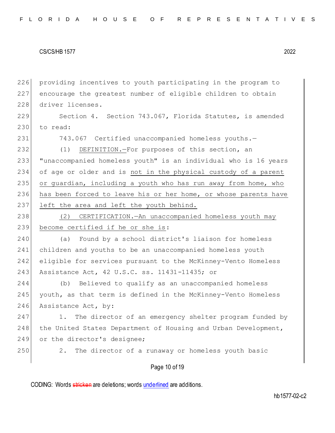226 providing incentives to youth participating in the program to 227 encourage the greatest number of eligible children to obtain 228 driver licenses.

229 Section 4. Section 743.067, Florida Statutes, is amended  $230$  to read:

231 743.067 Certified unaccompanied homeless youths.-

 (1) DEFINITION.—For purposes of this section, an "unaccompanied homeless youth" is an individual who is 16 years of age or older and is not in the physical custody of a parent or guardian, including a youth who has run away from home, who has been forced to leave his or her home, or whose parents have 237 left the area and left the youth behind.

238 (2) CERTIFICATION.—An unaccompanied homeless youth may 239 become certified if he or she is:

 (a) Found by a school district's liaison for homeless children and youths to be an unaccompanied homeless youth eligible for services pursuant to the McKinney-Vento Homeless 243 Assistance Act, 42 U.S.C. ss. 11431-11435; or

244 (b) Believed to qualify as an unaccompanied homeless 245 youth, as that term is defined in the McKinney-Vento Homeless 246 Assistance Act, by:

247 1. The director of an emergency shelter program funded by 248 the United States Department of Housing and Urban Development, 249 or the director's designee;

250 2. The director of a runaway or homeless youth basic

## Page 10 of 19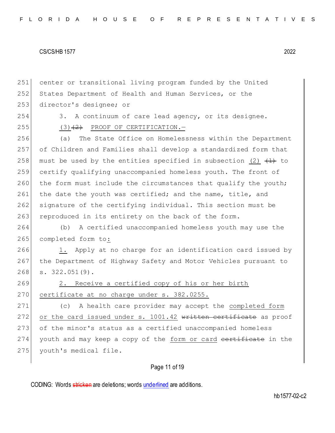| center or transitional living program funded by the United        |
|-------------------------------------------------------------------|
| States Department of Health and Human Services, or the            |
| director's designee; or                                           |
| A continuum of care lead agency, or its designee.<br>3.           |
| $(3)$ $(2)$ PROOF OF CERTIFICATION. -                             |
| The State Office on Homelessness within the Department<br>(a)     |
| of Children and Families shall develop a standardized form that   |
| must be used by the entities specified in subsection (2) $(1)$ to |
| certify qualifying unaccompanied homeless youth. The front of     |
| the form must include the circumstances that qualify the youth;   |
| the date the youth was certified; and the name, title, and        |
| signature of the certifying individual. This section must be      |
| reproduced in its entirety on the back of the form.               |
| A certified unaccompanied homeless youth may use the<br>(b)       |
| completed form to:                                                |
| Apply at no charge for an identification card issued by<br>1.     |
| the Department of Highway Safety and Motor Vehicles pursuant to   |
| $s. 322.051(9)$ .                                                 |
| Receive a certified copy of his or her birth<br>2.                |
| certificate at no charge under s. 382.0255.                       |
| A health care provider may accept the completed form<br>(C)       |
| or the card issued under s. 1001.42 written certificate as proof  |
| of the minor's status as a certified unaccompanied homeless       |
| youth and may keep a copy of the form or card certificate in the  |
| youth's medical file.                                             |
| Page 11 of 19                                                     |
|                                                                   |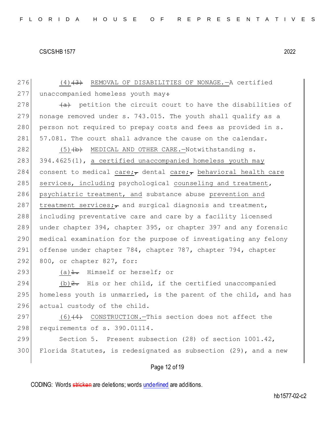276 (4)<del>(3)</del> REMOVAL OF DISABILITIES OF NONAGE.—A certified  $277$  unaccompanied homeless youth may: 278  $\left(4\right)$  petition the circuit court to have the disabilities of 279 nonage removed under s. 743.015. The youth shall qualify as a 280 person not required to prepay costs and fees as provided in s. 281 57.081. The court shall advance the cause on the calendar. 282 (5) (b) MEDICAL AND OTHER CARE. - Notwithstanding s. 283 394.4625(1), a certified unaccompanied homeless youth may 284 consent to medical care; dental care; behavioral health care 285 services, including psychological counseling and treatment, 286 psychiatric treatment, and substance abuse prevention and 287 treatment services; and surgical diagnosis and treatment, 288 including preventative care and care by a facility licensed 289 under chapter 394, chapter 395, or chapter 397 and any forensic 290 medical examination for the purpose of investigating any felony 291 offense under chapter 784, chapter 787, chapter 794, chapter 292 800, or chapter 827, for: 293 (a) $\frac{1}{1}$ . Himself or herself; or 294 (b)  $2.$  His or her child, if the certified unaccompanied 295 homeless youth is unmarried, is the parent of the child, and has 296 actual custody of the child. 297 (6)<del>(4)</del> CONSTRUCTION.—This section does not affect the 298 requirements of s. 390.01114. 299 Section 5. Present subsection (28) of section 1001.42, 300 Florida Statutes, is redesignated as subsection (29), and a new

Page 12 of 19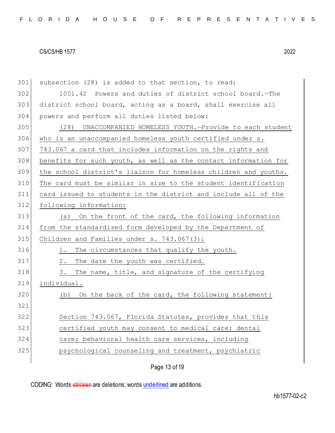| 301 | subsection (28) is added to that section, to read:              |
|-----|-----------------------------------------------------------------|
| 302 | 1001.42 Powers and duties of district school board. - The       |
| 303 | district school board, acting as a board, shall exercise all    |
| 304 | powers and perform all duties listed below:                     |
| 305 | (28) UNACCOMPANIED HOMELESS YOUTH.-Provide to each student      |
| 306 | who is an unaccompanied homeless youth certified under s.       |
| 307 | 743.067 a card that includes information on the rights and      |
| 308 | benefits for such youth, as well as the contact information for |
| 309 | the school district's liaison for homeless children and youths. |
| 310 | The card must be similar in size to the student identification  |
| 311 | card issued to students in the district and include all of the  |
| 312 | following information:                                          |
| 313 | (a) On the front of the card, the following information         |
| 314 | from the standardized form developed by the Department of       |
| 315 | Children and Families under $s. 743.067(3)$ :                   |
| 316 | The circumstances that qualify the youth.<br>1.                 |
| 317 | 2.<br>The date the youth was certified.                         |
| 318 | The name, title, and signature of the certifying<br>3.          |
| 319 | individual.                                                     |
| 320 | On the back of the card, the following statement:<br>(b)        |
| 321 |                                                                 |
| 322 | Section 743.067, Florida Statutes, provides that this           |
| 323 | certified youth may consent to medical care; dental             |
| 324 | care; behavioral health care services, including                |
| 325 | psychological counseling and treatment, psychiatric             |
|     |                                                                 |

Page 13 of 19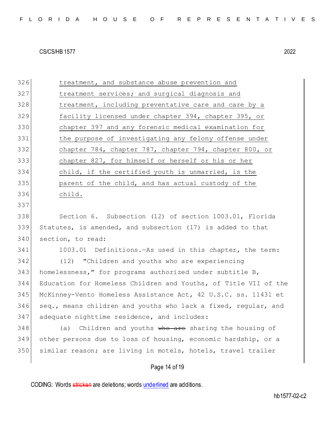| 326 | treatment, and substance abuse prevention and                   |
|-----|-----------------------------------------------------------------|
| 327 | treatment services; and surgical diagnosis and                  |
| 328 | treatment, including preventative care and care by a            |
| 329 | facility licensed under chapter 394, chapter 395, or            |
| 330 | chapter 397 and any forensic medical examination for            |
| 331 | the purpose of investigating any felony offense under           |
| 332 | chapter 784, chapter 787, chapter 794, chapter 800, or          |
| 333 | chapter 827, for himself or herself or his or her               |
| 334 | child, if the certified youth is unmarried, is the              |
| 335 | parent of the child, and has actual custody of the              |
| 336 | child.                                                          |
| 337 |                                                                 |
| 338 | Section 6. Subsection (12) of section 1003.01, Florida          |
| 339 | Statutes, is amended, and subsection (17) is added to that      |
| 340 | section, to read:                                               |
| 341 | 1003.01 Definitions. - As used in this chapter, the term:       |
| 342 | (12) "Children and youths who are experiencing                  |
| 343 | homelessness," for programs authorized under subtitle B,        |
| 344 | Education for Homeless Children and Youths, of Title VII of the |
| 345 | McKinney-Vento Homeless Assistance Act, 42 U.S.C. ss. 11431 et  |
| 346 | seq., means children and youths who lack a fixed, reqular, and  |
| 347 | adequate nighttime residence, and includes:                     |
| 348 | Children and youths who are sharing the housing of<br>(a)       |
| 349 | other persons due to loss of housing, economic hardship, or a   |
| 350 | similar reason; are living in motels, hotels, travel trailer    |
|     | Page 14 of 19                                                   |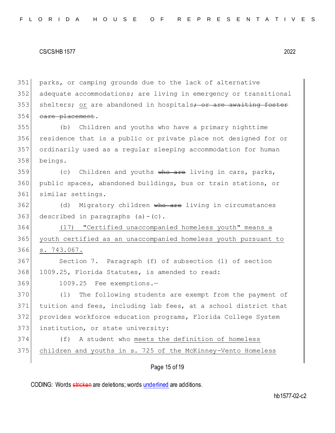parks, or camping grounds due to the lack of alternative adequate accommodations; are living in emergency or transitional 353 shelters; or are abandoned in hospitals; or are awaiting foster 354 care placement. (b) Children and youths who have a primary nighttime residence that is a public or private place not designed for or ordinarily used as a regular sleeping accommodation for human beings. (c) Children and youths who are living in cars, parks, public spaces, abandoned buildings, bus or train stations, or similar settings. 362 (d) Migratory children who are living in circumstances 363 described in paragraphs  $(a) - (c)$ . (17) "Certified unaccompanied homeless youth" means a youth certified as an unaccompanied homeless youth pursuant to s. 743.067. Section 7. Paragraph (f) of subsection (1) of section 1009.25, Florida Statutes, is amended to read: 1009.25 Fee exemptions.— 370 (1) The following students are exempt from the payment of tuition and fees, including lab fees, at a school district that provides workforce education programs, Florida College System 373 institution, or state university: (f) A student who meets the definition of homeless children and youths in s. 725 of the McKinney-Vento Homeless

Page 15 of 19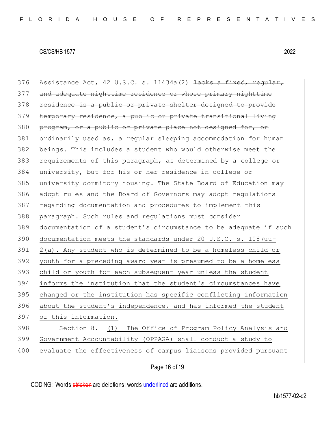376 Assistance Act, 42 U.S.C. s.  $11434a(2)$   $\frac{1}{1}$  acks a fixed, regular, 377 and adequate nighttime residence or whose primary nighttime 378 residence is a public or private shelter designed to provide temporary residence, a public or private transitional living 380 program, or a public or private place not designed for, or 381 ordinarily used as, a regular sleeping accommodation for human 382 beings. This includes a student who would otherwise meet the requirements of this paragraph, as determined by a college or university, but for his or her residence in college or university dormitory housing. The State Board of Education may adopt rules and the Board of Governors may adopt regulations regarding documentation and procedures to implement this paragraph. Such rules and regulations must consider documentation of a student's circumstance to be adequate if such documentation meets the standards under 20 U.S.C. s. 1087uu- 2(a). Any student who is determined to be a homeless child or youth for a preceding award year is presumed to be a homeless child or youth for each subsequent year unless the student informs the institution that the student's circumstances have changed or the institution has specific conflicting information about the student's independence, and has informed the student of this information. 398 Section 8. (1) The Office of Program Policy Analysis and Government Accountability (OPPAGA) shall conduct a study to evaluate the effectiveness of campus liaisons provided pursuant

Page 16 of 19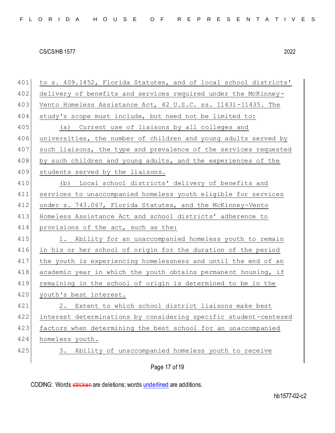| 404 | study's scope must include, but need not be limited to:          |
|-----|------------------------------------------------------------------|
| 405 | Current use of liaisons by all colleges and<br>(a)               |
| 406 | universities, the number of children and young adults served by  |
| 407 | such liaisons, the type and prevalence of the services requested |
| 408 | by such children and young adults, and the experiences of the    |
| 409 | students served by the liaisons.                                 |
| 410 | (b) Local school districts' delivery of benefits and             |
| 411 | services to unaccompanied homeless youth eligible for services   |
| 412 | under s. 743.067, Florida Statutes, and the McKinney-Vento       |
| 413 | Homeless Assistance Act and school districts' adherence to       |
| 414 | provisions of the act, such as the:                              |
| 415 | 1. Ability for an unaccompanied homeless youth to remain         |
| 416 | in his or her school of origin for the duration of the period    |
| 417 | the youth is experiencing homelessness and until the end of an   |
| 418 | academic year in which the youth obtains permanent housing, if   |
| 419 | remaining in the school of origin is determined to be in the     |
| 420 | youth's best interest.                                           |
| 421 | 2. Extent to which school district liaisons make best            |
| 422 | interest determinations by considering specific student-centered |
| 423 | factors when determining the best school for an unaccompanied    |
| 424 | homeless youth.                                                  |
| 425 | Ability of unaccompanied homeless youth to receive<br>3.         |
|     |                                                                  |
|     | Page 17 of 19                                                    |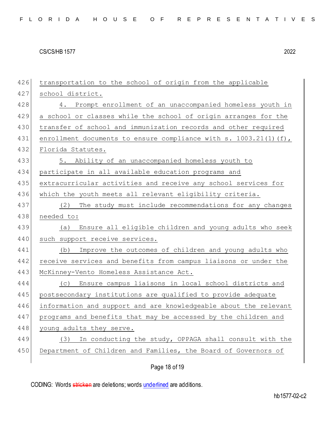| 426 | transportation to the school of origin from the applicable          |
|-----|---------------------------------------------------------------------|
| 427 | school district.                                                    |
| 428 | 4. Prompt enrollment of an unaccompanied homeless youth in          |
| 429 | a school or classes while the school of origin arranges for the     |
| 430 | transfer of school and immunization records and other required      |
| 431 | enrollment documents to ensure compliance with s. $1003.21(1)$ (f), |
| 432 | Florida Statutes.                                                   |
| 433 | 5. Ability of an unaccompanied homeless youth to                    |
| 434 | participate in all available education programs and                 |
| 435 | extracurricular activities and receive any school services for      |
| 436 | which the youth meets all relevant eligibility criteria.            |
| 437 | The study must include recommendations for any changes<br>(2)       |
| 438 | needed to:                                                          |
| 439 | Ensure all eligible children and young adults who seek<br>(a)       |
| 440 | such support receive services.                                      |
| 441 |                                                                     |
|     | Improve the outcomes of children and young adults who<br>(b)        |
| 442 | receive services and benefits from campus liaisons or under the     |
| 443 | McKinney-Vento Homeless Assistance Act.                             |
| 444 | (c) Ensure campus liaisons in local school districts and            |
| 445 | postsecondary institutions are qualified to provide adequate        |
| 446 | information and support and are knowledgeable about the relevant    |
| 447 | programs and benefits that may be accessed by the children and      |
| 448 | young adults they serve.                                            |
| 449 | (3) In conducting the study, OPPAGA shall consult with the          |
| 450 | Department of Children and Families, the Board of Governors of      |

Page 18 of 19